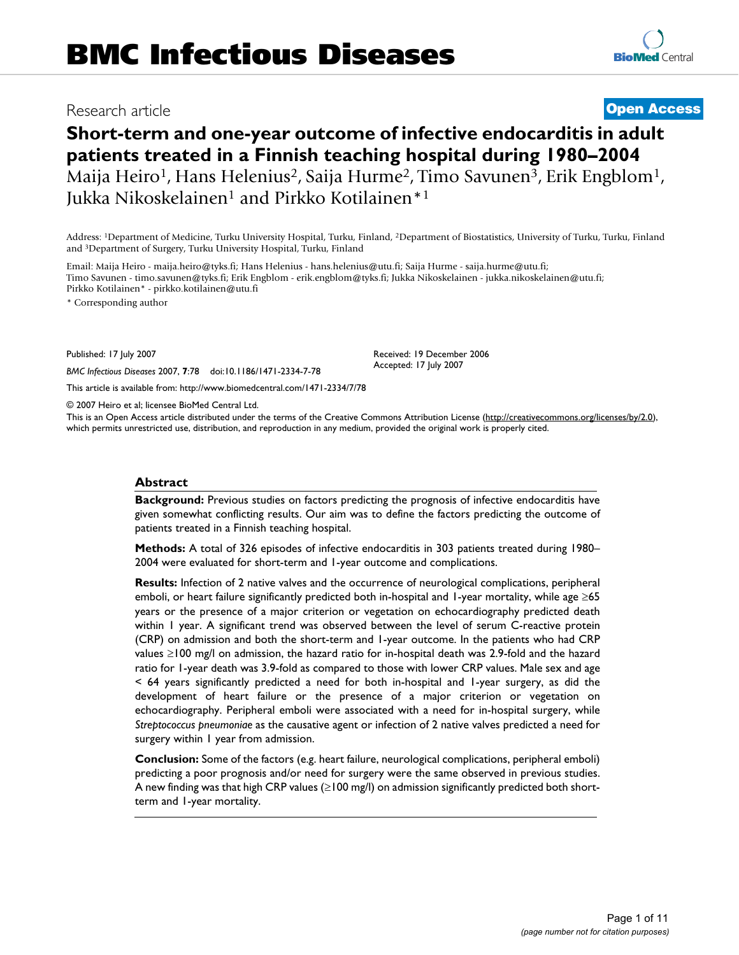## Research article **[Open Access](http://www.biomedcentral.com/info/about/charter/)**

# **Short-term and one-year outcome of infective endocarditis in adult patients treated in a Finnish teaching hospital during 1980–2004** Maija Heiro<sup>1</sup>, Hans Helenius<sup>2</sup>, Saija Hurme<sup>2</sup>, Timo Savunen<sup>3</sup>, Erik Engblom<sup>1</sup>, Jukka Nikoskelainen<sup>1</sup> and Pirkko Kotilainen<sup>\*1</sup>

Address: 1Department of Medicine, Turku University Hospital, Turku, Finland, 2Department of Biostatistics, University of Turku, Turku, Finland and 3Department of Surgery, Turku University Hospital, Turku, Finland

Email: Maija Heiro - maija.heiro@tyks.fi; Hans Helenius - hans.helenius@utu.fi; Saija Hurme - saija.hurme@utu.fi; Timo Savunen - timo.savunen@tyks.fi; Erik Engblom - erik.engblom@tyks.fi; Jukka Nikoskelainen - jukka.nikoskelainen@utu.fi; Pirkko Kotilainen\* - pirkko.kotilainen@utu.fi

\* Corresponding author

Published: 17 July 2007

*BMC Infectious Diseases* 2007, **7**:78 doi:10.1186/1471-2334-7-78

[This article is available from: http://www.biomedcentral.com/1471-2334/7/78](http://www.biomedcentral.com/1471-2334/7/78)

© 2007 Heiro et al; licensee BioMed Central Ltd.

This is an Open Access article distributed under the terms of the Creative Commons Attribution License [\(http://creativecommons.org/licenses/by/2.0\)](http://creativecommons.org/licenses/by/2.0), which permits unrestricted use, distribution, and reproduction in any medium, provided the original work is properly cited.

Received: 19 December 2006 Accepted: 17 July 2007

#### **Abstract**

**Background:** Previous studies on factors predicting the prognosis of infective endocarditis have given somewhat conflicting results. Our aim was to define the factors predicting the outcome of patients treated in a Finnish teaching hospital.

**Methods:** A total of 326 episodes of infective endocarditis in 303 patients treated during 1980– 2004 were evaluated for short-term and 1-year outcome and complications.

**Results:** Infection of 2 native valves and the occurrence of neurological complications, peripheral emboli, or heart failure significantly predicted both in-hospital and 1-year mortality, while age ≥65 years or the presence of a major criterion or vegetation on echocardiography predicted death within 1 year. A significant trend was observed between the level of serum C-reactive protein (CRP) on admission and both the short-term and 1-year outcome. In the patients who had CRP values ≥100 mg/l on admission, the hazard ratio for in-hospital death was 2.9-fold and the hazard ratio for 1-year death was 3.9-fold as compared to those with lower CRP values. Male sex and age < 64 years significantly predicted a need for both in-hospital and 1-year surgery, as did the development of heart failure or the presence of a major criterion or vegetation on echocardiography. Peripheral emboli were associated with a need for in-hospital surgery, while *Streptococcus pneumoniae* as the causative agent or infection of 2 native valves predicted a need for surgery within 1 year from admission.

**Conclusion:** Some of the factors (e.g. heart failure, neurological complications, peripheral emboli) predicting a poor prognosis and/or need for surgery were the same observed in previous studies. A new finding was that high CRP values (≥100 mg/l) on admission significantly predicted both shortterm and 1-year mortality.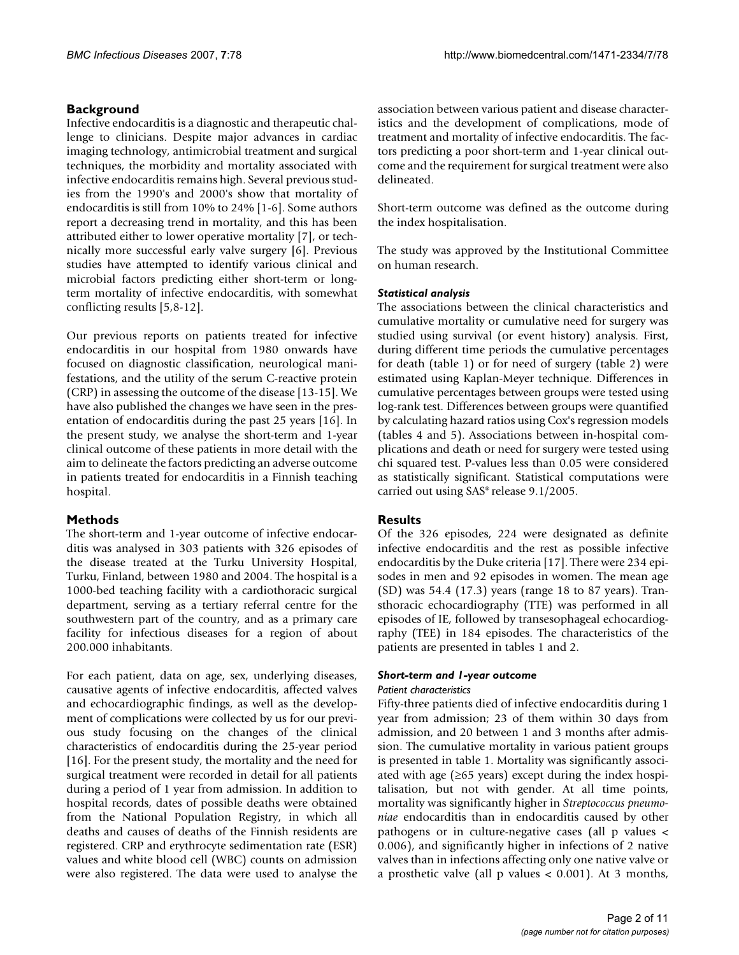### **Background**

Infective endocarditis is a diagnostic and therapeutic challenge to clinicians. Despite major advances in cardiac imaging technology, antimicrobial treatment and surgical techniques, the morbidity and mortality associated with infective endocarditis remains high. Several previous studies from the 1990's and 2000's show that mortality of endocarditis is still from 10% to 24% [1-6]. Some authors report a decreasing trend in mortality, and this has been attributed either to lower operative mortality [7], or technically more successful early valve surgery [6]. Previous studies have attempted to identify various clinical and microbial factors predicting either short-term or longterm mortality of infective endocarditis, with somewhat conflicting results [5,8-12].

Our previous reports on patients treated for infective endocarditis in our hospital from 1980 onwards have focused on diagnostic classification, neurological manifestations, and the utility of the serum C-reactive protein (CRP) in assessing the outcome of the disease [13-15]. We have also published the changes we have seen in the presentation of endocarditis during the past 25 years [16]. In the present study, we analyse the short-term and 1-year clinical outcome of these patients in more detail with the aim to delineate the factors predicting an adverse outcome in patients treated for endocarditis in a Finnish teaching hospital.

### **Methods**

The short-term and 1-year outcome of infective endocarditis was analysed in 303 patients with 326 episodes of the disease treated at the Turku University Hospital, Turku, Finland, between 1980 and 2004. The hospital is a 1000-bed teaching facility with a cardiothoracic surgical department, serving as a tertiary referral centre for the southwestern part of the country, and as a primary care facility for infectious diseases for a region of about 200.000 inhabitants.

For each patient, data on age, sex, underlying diseases, causative agents of infective endocarditis, affected valves and echocardiographic findings, as well as the development of complications were collected by us for our previous study focusing on the changes of the clinical characteristics of endocarditis during the 25-year period [16]. For the present study, the mortality and the need for surgical treatment were recorded in detail for all patients during a period of 1 year from admission. In addition to hospital records, dates of possible deaths were obtained from the National Population Registry, in which all deaths and causes of deaths of the Finnish residents are registered. CRP and erythrocyte sedimentation rate (ESR) values and white blood cell (WBC) counts on admission were also registered. The data were used to analyse the association between various patient and disease characteristics and the development of complications, mode of treatment and mortality of infective endocarditis. The factors predicting a poor short-term and 1-year clinical outcome and the requirement for surgical treatment were also delineated.

Short-term outcome was defined as the outcome during the index hospitalisation.

The study was approved by the Institutional Committee on human research.

### *Statistical analysis*

The associations between the clinical characteristics and cumulative mortality or cumulative need for surgery was studied using survival (or event history) analysis. First, during different time periods the cumulative percentages for death (table 1) or for need of surgery (table 2) were estimated using Kaplan-Meyer technique. Differences in cumulative percentages between groups were tested using log-rank test. Differences between groups were quantified by calculating hazard ratios using Cox's regression models (tables 4 and 5). Associations between in-hospital complications and death or need for surgery were tested using chi squared test. P-values less than 0.05 were considered as statistically significant. Statistical computations were carried out using SAS® release 9.1/2005.

### **Results**

Of the 326 episodes, 224 were designated as definite infective endocarditis and the rest as possible infective endocarditis by the Duke criteria [17]. There were 234 episodes in men and 92 episodes in women. The mean age (SD) was 54.4 (17.3) years (range 18 to 87 years). Transthoracic echocardiography (TTE) was performed in all episodes of IE, followed by transesophageal echocardiography (TEE) in 184 episodes. The characteristics of the patients are presented in tables 1 and 2.

### *Short-term and 1-year outcome*

### *Patient characteristics*

Fifty-three patients died of infective endocarditis during 1 year from admission; 23 of them within 30 days from admission, and 20 between 1 and 3 months after admission. The cumulative mortality in various patient groups is presented in table 1. Mortality was significantly associated with age ( $\geq 65$  years) except during the index hospitalisation, but not with gender. At all time points, mortality was significantly higher in *Streptococcus pneumoniae* endocarditis than in endocarditis caused by other pathogens or in culture-negative cases (all p values < 0.006), and significantly higher in infections of 2 native valves than in infections affecting only one native valve or a prosthetic valve (all p values < 0.001). At 3 months,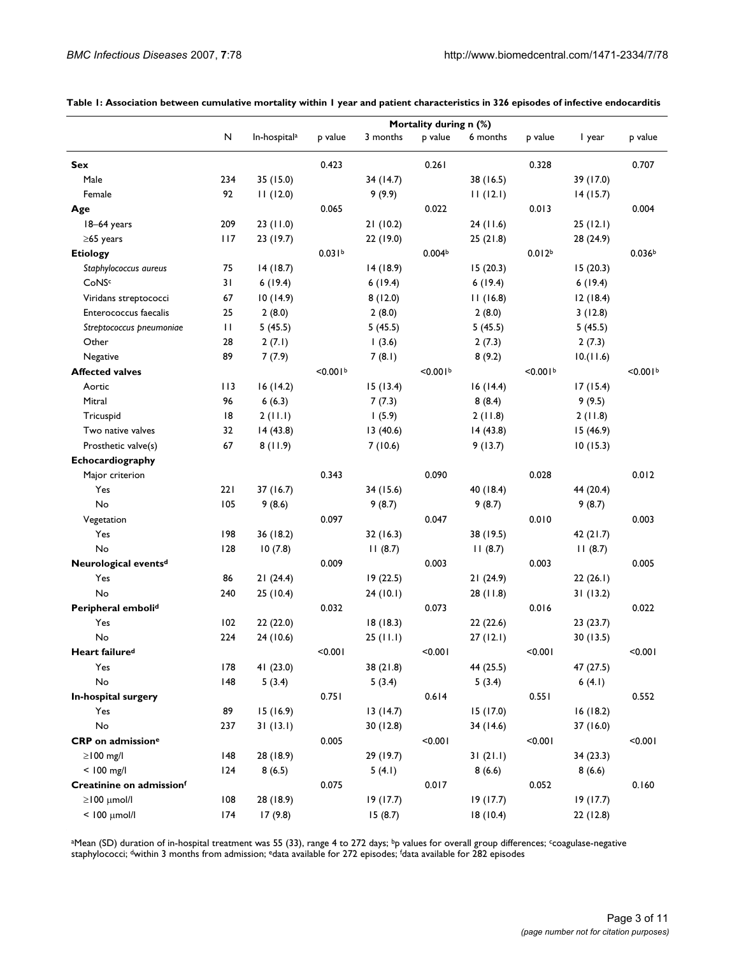|                                  | Mortality during n (%) |                          |                    |           |                    |           |                      |           |                    |
|----------------------------------|------------------------|--------------------------|--------------------|-----------|--------------------|-----------|----------------------|-----------|--------------------|
|                                  | N                      | In-hospital <sup>a</sup> | p value            | 3 months  | p value            | 6 months  | p value              | I year    | p value            |
| Sex                              |                        |                          | 0.423              |           | 0.261              |           | 0.328                |           | 0.707              |
| Male                             | 234                    | 35 (15.0)                |                    | 34 (14.7) |                    | 38 (16.5) |                      | 39 (17.0) |                    |
| Female                           | 92                     | 11(12.0)                 |                    | 9(9.9)    |                    | 11(12.1)  |                      | 14(15.7)  |                    |
| Age                              |                        |                          | 0.065              |           | 0.022              |           | 0.013                |           | 0.004              |
| 18-64 years                      | 209                    | 23(11.0)                 |                    | 21(10.2)  |                    | 24(11.6)  |                      | 25(12.1)  |                    |
| $\geq$ 65 years                  | 117                    | 23 (19.7)                |                    | 22 (19.0) |                    | 25(21.8)  |                      | 28 (24.9) |                    |
| <b>Etiology</b>                  |                        |                          | 0.031 <sup>b</sup> |           | 0.004 <sup>b</sup> |           | 0.012 <sup>b</sup>   |           | 0.036 <sup>b</sup> |
| Staphylococcus aureus            | 75                     | 14(18.7)                 |                    | 14(18.9)  |                    | 15(20.3)  |                      | 15(20.3)  |                    |
| CoNSc                            | 31                     | 6(19.4)                  |                    | 6(19.4)   |                    | 6(19.4)   |                      | 6(19.4)   |                    |
| Viridans streptococci            | 67                     | 10(14.9)                 |                    | 8(12.0)   |                    | 11(16.8)  |                      | 12(18.4)  |                    |
| Enterococcus faecalis            | 25                     | 2(8.0)                   |                    | 2(8.0)    |                    | 2(8.0)    |                      | 3(12.8)   |                    |
| Streptococcus pneumoniae         | $\mathbf{H}$           | 5(45.5)                  |                    | 5(45.5)   |                    | 5(45.5)   |                      | 5(45.5)   |                    |
| Other                            | 28                     | 2(7.1)                   |                    | 1(3.6)    |                    | 2(7.3)    |                      | 2(7.3)    |                    |
| Negative                         | 89                     | 7(7.9)                   |                    | 7(8.1)    |                    | 8(9.2)    |                      | 10.(11.6) |                    |
| <b>Affected valves</b>           |                        |                          | < 0.001            |           | < 0.001            |           | < 0.001 <sup>b</sup> |           | < 0.001            |
| Aortic                           | 113                    | 16(14.2)                 |                    | 15(13.4)  |                    | 16(14.4)  |                      | 17(15.4)  |                    |
| Mitral                           | 96                     | 6(6.3)                   |                    | 7(7.3)    |                    | 8(8.4)    |                      | 9(9.5)    |                    |
| Tricuspid                        | 8                      | 2(11.1)                  |                    | 1(5.9)    |                    | 2(11.8)   |                      | 2(11.8)   |                    |
| Two native valves                | 32                     | 14(43.8)                 |                    | 13(40.6)  |                    | 14(43.8)  |                      | 15 (46.9) |                    |
| Prosthetic valve(s)              | 67                     | 8(11.9)                  |                    | 7(10.6)   |                    | 9(13.7)   |                      | 10(15.3)  |                    |
| Echocardiography                 |                        |                          |                    |           |                    |           |                      |           |                    |
| Major criterion                  |                        |                          | 0.343              |           | 0.090              |           | 0.028                |           | 0.012              |
| Yes                              | 221                    | 37(16.7)                 |                    | 34 (15.6) |                    | 40 (18.4) |                      | 44 (20.4) |                    |
| No                               | 105                    | 9(8.6)                   |                    | 9(8.7)    |                    | 9(8.7)    |                      | 9(8.7)    |                    |
| Vegetation                       |                        |                          | 0.097              |           | 0.047              |           | 0.010                |           | 0.003              |
| Yes                              | 198                    | 36 (18.2)                |                    | 32(16.3)  |                    | 38 (19.5) |                      | 42 (21.7) |                    |
| No                               | 128                    | 10(7.8)                  |                    | 11(8.7)   |                    | 11(8.7)   |                      | 11(8.7)   |                    |
| Neurological events <sup>d</sup> |                        |                          | 0.009              |           | 0.003              |           | 0.003                |           | 0.005              |
| Yes                              | 86                     | 21(24.4)                 |                    | 19 (22.5) |                    | 21(24.9)  |                      | 22(26.1)  |                    |
| No                               | 240                    | 25(10.4)                 |                    | 24(10.1)  |                    | 28 (11.8) |                      | 31(13.2)  |                    |
| Peripheral embolid               |                        |                          | 0.032              |           | 0.073              |           | 0.016                |           | 0.022              |
| Yes                              | 102                    | 22 (22.0)                |                    | 18(18.3)  |                    | 22(22.6)  |                      | 23 (23.7) |                    |
| No                               | 224                    | 24 (10.6)                |                    | 25(11.1)  |                    | 27(12.1)  |                      | 30 (13.5) |                    |
| Heart failure <sup>d</sup>       |                        |                          | 100.00             |           | < 0.001            |           | 100.00               |           | < 0.001            |
| Yes                              | 178                    | 41 (23.0)                |                    | 38(21.8)  |                    | 44 (25.5) |                      | 47 (27.5) |                    |
| No                               | 148                    | 5(3.4)                   |                    | 5(3.4)    |                    | 5(3.4)    |                      | 6(4.1)    |                    |
| In-hospital surgery              |                        |                          | 0.751              |           | 0.614              |           | 0.551                |           | 0.552              |
| Yes                              | 89                     | 15(16.9)                 |                    | 13(14.7)  |                    | 15 (17.0) |                      | 16(18.2)  |                    |
| No                               | 237                    | 31(13.1)                 |                    | 30 (12.8) |                    | 34 (14.6) |                      | 37 (16.0) |                    |
| CRP on admission <sup>e</sup>    |                        |                          | 0.005              |           | < 0.001            |           | < 0.001              |           | < 0.001            |
| $\geq$ 100 mg/l                  | 48                     | 28 (18.9)                |                    | 29 (19.7) |                    | 31(21.1)  |                      | 34 (23.3) |                    |
| $< 100$ mg/l                     | 124                    | 8(6.5)                   |                    | 5(4.1)    |                    | 8(6.6)    |                      | 8(6.6)    |                    |
| Creatinine on admissionf         |                        |                          | 0.075              |           | 0.017              |           | 0.052                |           | 0.160              |
| $\geq$ 100 $\mu$ mol/l           | 108                    | 28 (18.9)                |                    | 19(17.7)  |                    | 19(17.7)  |                      | 19(17.7)  |                    |
| $<$ 100 $\mu$ mol/l              | 174                    | 17(9.8)                  |                    | 15(8.7)   |                    | 18(10.4)  |                      | 22 (12.8) |                    |

**Table 1: Association between cumulative mortality within 1 year and patient characteristics in 326 episodes of infective endocarditis**

aMean (SD) duration of in-hospital treatment was 55 (33), range 4 to 272 days; bp values for overall group differences; ccoagulase-negative staphylococci; dwithin 3 months from admission; edata available for 272 episodes; f data available for 282 episodes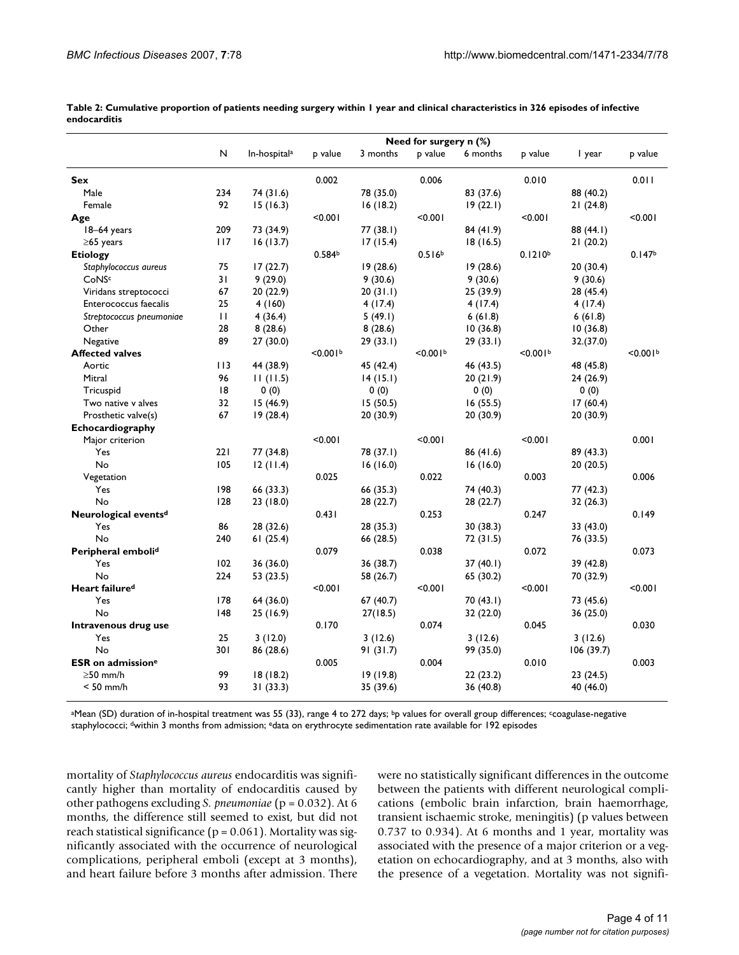|                                      |     |                          |                      |           | Need for surgery $n$ (%) |           |                      |           |                      |
|--------------------------------------|-----|--------------------------|----------------------|-----------|--------------------------|-----------|----------------------|-----------|----------------------|
|                                      | N   | In-hospital <sup>a</sup> | p value              | 3 months  | p value                  | 6 months  | p value              | I year    | p value              |
| <b>Sex</b>                           |     |                          | 0.002                |           | 0.006                    |           | 0.010                |           | 0.011                |
| Male                                 | 234 | 74 (31.6)                |                      | 78 (35.0) |                          | 83 (37.6) |                      | 88 (40.2) |                      |
| Female                               | 92  | 15(16.3)                 |                      | 16(18.2)  |                          | 19(22.1)  |                      | 21 (24.8) |                      |
| Age                                  |     |                          | < 0.001              |           | < 0.001                  |           | <0.001               |           | < 0.001              |
| 18-64 years                          | 209 | 73 (34.9)                |                      | 77 (38.I) |                          | 84 (41.9) |                      | 88 (44.1) |                      |
| $\geq$ 65 years                      | 117 | 16(13.7)                 |                      | 17 (15.4) |                          | 18(16.5)  |                      | 21 (20.2) |                      |
| <b>Etiology</b>                      |     |                          | 0.584 <sup>b</sup>   |           | 0.516 <sup>b</sup>       |           | 0.1210 <sup>b</sup>  |           | 0.147 <sup>b</sup>   |
| Staphylococcus aureus                | 75  | 17(22.7)                 |                      | 19(28.6)  |                          | 19(28.6)  |                      | 20 (30.4) |                      |
| CoNSc                                | 31  | 9(29.0)                  |                      | 9(30.6)   |                          | 9(30.6)   |                      | 9(30.6)   |                      |
| Viridans streptococci                | 67  | 20 (22.9)                |                      | 20(31.1)  |                          | 25 (39.9) |                      | 28 (45.4) |                      |
| Enterococcus faecalis                | 25  | 4 (160)                  |                      | 4 (17.4)  |                          | 4 (17.4)  |                      | 4 (17.4)  |                      |
| Streptococcus pneumoniae             | П   | 4(36.4)                  |                      | 5(49.1)   |                          | 6(61.8)   |                      | 6(61.8)   |                      |
| Other                                | 28  | 8(28.6)                  |                      | 8(28.6)   |                          | 10(36.8)  |                      | 10(36.8)  |                      |
| Negative                             | 89  | 27 (30.0)                |                      | 29 (33.I) |                          | 29 (33.1) |                      | 32.(37.0) |                      |
| <b>Affected valves</b>               |     |                          | < 0.001 <sup>b</sup> |           | < 0.001 <sup>b</sup>     |           | < 0.001 <sup>b</sup> |           | < 0.001 <sup>b</sup> |
| Aortic                               | 113 | 44 (38.9)                |                      | 45 (42.4) |                          | 46 (43.5) |                      | 48 (45.8) |                      |
| Mitral                               | 96  | 11(11.5)                 |                      | 14(15.1)  |                          | 20 (21.9) |                      | 24 (26.9) |                      |
| Tricuspid                            | 18  | 0(0)                     |                      | 0(0)      |                          | 0(0)      |                      | 0(0)      |                      |
| Two native v alves                   | 32  | 15(46.9)                 |                      | 15(50.5)  |                          | 16(55.5)  |                      | 17(60.4)  |                      |
| Prosthetic valve(s)                  | 67  | 19(28.4)                 |                      | 20 (30.9) |                          | 20 (30.9) |                      | 20 (30.9) |                      |
| Echocardiography                     |     |                          |                      |           |                          |           |                      |           |                      |
| Major criterion                      |     |                          | < 0.001              |           | < 0.001                  |           | < 0.001              |           | 0.001                |
| Yes                                  | 221 | 77 (34.8)                |                      | 78 (37.1) |                          | 86 (41.6) |                      | 89 (43.3) |                      |
| No                                   | 105 | 12(11.4)                 |                      | 16(16.0)  |                          | 16(16.0)  |                      | 20 (20.5) |                      |
| Vegetation                           |     |                          | 0.025                |           | 0.022                    |           | 0.003                |           | 0.006                |
| Yes                                  | 198 | 66 (33.3)                |                      | 66 (35.3) |                          | 74 (40.3) |                      | 77 (42.3) |                      |
| No                                   | 128 | 23 (18.0)                |                      | 28 (22.7) |                          | 28 (22.7) |                      | 32 (26.3) |                      |
| Neurological events <sup>d</sup>     |     |                          | 0.431                |           | 0.253                    |           | 0.247                |           | 0.149                |
| Yes                                  | 86  | 28 (32.6)                |                      | 28 (35.3) |                          | 30(38.3)  |                      | 33 (43.0) |                      |
| No                                   | 240 | 61(25.4)                 |                      | 66 (28.5) |                          | 72 (31.5) |                      | 76 (33.5) |                      |
| Peripheral embolid                   |     |                          | 0.079                |           | 0.038                    |           | 0.072                |           | 0.073                |
| Yes                                  | 102 | 36 (36.0)                |                      | 36 (38.7) |                          | 37(40.1)  |                      | 39 (42.8) |                      |
| No                                   | 224 | 53 (23.5)                |                      | 58 (26.7) |                          | 65 (30.2) |                      | 70 (32.9) |                      |
| Heart failure <sup>d</sup>           |     |                          | < 0.001              |           | < 0.001                  |           | < 0.001              |           | < 0.001              |
| Yes                                  | 178 | 64 (36.0)                |                      | 67 (40.7) |                          | 70 (43.I) |                      | 73 (45.6) |                      |
| No                                   | 48  | 25 (16.9)                |                      | 27(18.5)  |                          | 32 (22.0) |                      | 36 (25.0) |                      |
| Intravenous drug use                 |     |                          | 0.170                |           | 0.074                    |           | 0.045                |           | 0.030                |
| Yes                                  | 25  | 3(12.0)                  |                      | 3(12.6)   |                          | 3(12.6)   |                      | 3(12.6)   |                      |
| No                                   | 301 | 86 (28.6)                |                      | 91(31.7)  |                          | 99 (35.0) |                      | 106(39.7) |                      |
| <b>ESR</b> on admission <sup>e</sup> |     |                          | 0.005                |           | 0.004                    |           | 0.010                |           | 0.003                |
| $\geq$ 50 mm/h                       | 99  | 18(18.2)                 |                      | 19(19.8)  |                          | 22 (23.2) |                      | 23 (24.5) |                      |
| $< 50$ mm/h                          | 93  | 31(33.3)                 |                      | 35 (39.6) |                          | 36 (40.8) |                      | 40 (46.0) |                      |
|                                      |     |                          |                      |           |                          |           |                      |           |                      |

**Table 2: Cumulative proportion of patients needing surgery within 1 year and clinical characteristics in 326 episodes of infective endocarditis**

<sup>a</sup>Mean (SD) duration of in-hospital treatment was 55 (33), range 4 to 272 days; <sup>b</sup>p values for overall group differences; <sup>c</sup>coagulase-negative staphylococci; dwithin 3 months from admission; edata on erythrocyte sedimentation rate available for 192 episodes

mortality of *Staphylococcus aureus* endocarditis was significantly higher than mortality of endocarditis caused by other pathogens excluding *S. pneumoniae* (p = 0.032). At 6 months, the difference still seemed to exist, but did not reach statistical significance ( $p = 0.061$ ). Mortality was significantly associated with the occurrence of neurological complications, peripheral emboli (except at 3 months), and heart failure before 3 months after admission. There

were no statistically significant differences in the outcome between the patients with different neurological complications (embolic brain infarction, brain haemorrhage, transient ischaemic stroke, meningitis) (p values between 0.737 to 0.934). At 6 months and 1 year, mortality was associated with the presence of a major criterion or a vegetation on echocardiography, and at 3 months, also with the presence of a vegetation. Mortality was not signifi-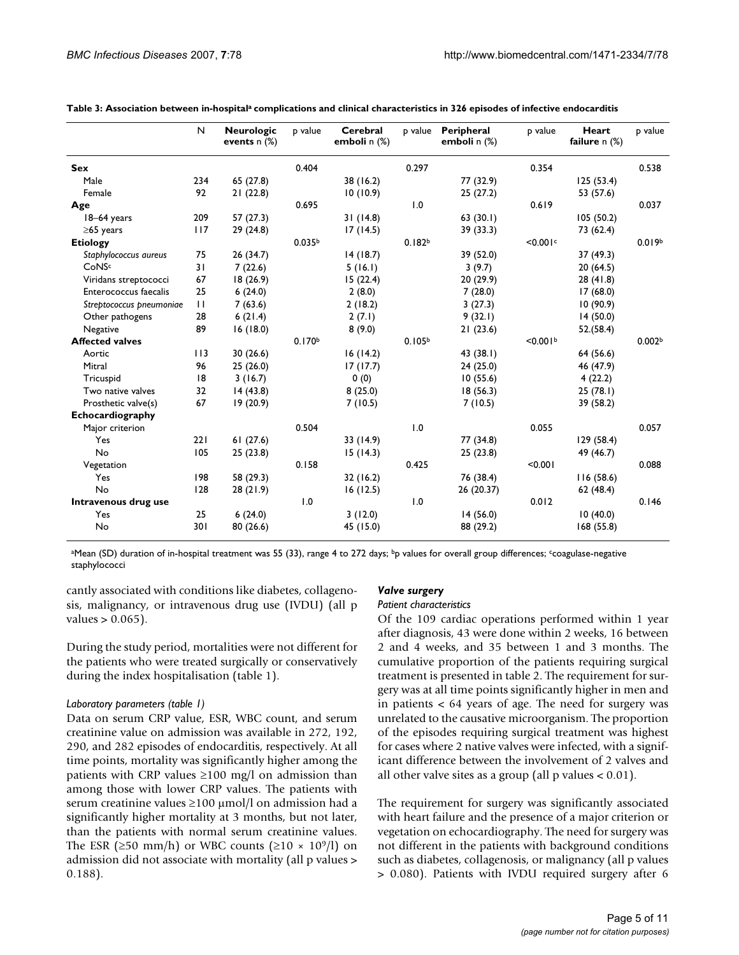|                          | $\mathsf{N}$ | <b>Neurologic</b><br>events $n$ $%$ | p value            | Cerebral<br>emboli $n$ $%$ |                    | p value Peripheral<br>emboli n (%) | p value              | Heart<br>failure $n$ $%$ | p value            |
|--------------------------|--------------|-------------------------------------|--------------------|----------------------------|--------------------|------------------------------------|----------------------|--------------------------|--------------------|
| <b>Sex</b>               |              |                                     | 0.404              |                            | 0.297              |                                    | 0.354                |                          | 0.538              |
| Male                     | 234          | 65 (27.8)                           |                    | 38 (16.2)                  |                    | 77 (32.9)                          |                      | 125(53.4)                |                    |
| Female                   | 92           | 21(22.8)                            |                    | 10(10.9)                   |                    | 25(27.2)                           |                      | 53 (57.6)                |                    |
| Age                      |              |                                     | 0.695              |                            | 1.0                |                                    | 0.619                |                          | 0.037              |
| 18-64 years              | 209          | 57(27.3)                            |                    | 31(14.8)                   |                    | 63(30.1)                           |                      | 105(50.2)                |                    |
| $\geq$ 65 years          | 117          | 29 (24.8)                           |                    | 17(14.5)                   |                    | 39 (33.3)                          |                      | 73 (62.4)                |                    |
| <b>Etiology</b>          |              |                                     | 0.035 <sup>b</sup> |                            | 0.182 <sup>b</sup> |                                    | <0.001c              |                          | 0.019 <sup>b</sup> |
| Staphylococcus aureus    | 75           | 26 (34.7)                           |                    | 14(18.7)                   |                    | 39 (52.0)                          |                      | 37(49.3)                 |                    |
| <b>CoNSc</b>             | 31           | 7(22.6)                             |                    | 5(16.1)                    |                    | 3(9.7)                             |                      | 20(64.5)                 |                    |
| Viridans streptococci    | 67           | 18(26.9)                            |                    | 15(22.4)                   |                    | 20(29.9)                           |                      | 28(41.8)                 |                    |
| Enterococcus faecalis    | 25           | 6(24.0)                             |                    | 2(8.0)                     |                    | 7(28.0)                            |                      | 17(68.0)                 |                    |
| Streptococcus pneumoniae | $\mathbf{H}$ | 7(63.6)                             |                    | 2(18.2)                    |                    | 3(27.3)                            |                      | 10 (90.9)                |                    |
| Other pathogens          | 28           | 6(21.4)                             |                    | 2(7.1)                     |                    | 9(32.1)                            |                      | 14 (50.0)                |                    |
| Negative                 | 89           | 16(18.0)                            |                    | 8(9.0)                     |                    | 21(23.6)                           |                      | 52.(58.4)                |                    |
| <b>Affected valves</b>   |              |                                     | 0.170 <sup>b</sup> |                            | 0.105 <sup>b</sup> |                                    | < 0.001 <sup>b</sup> |                          | 0.002 <sub>b</sub> |
| Aortic                   | 113          | 30(26.6)                            |                    | 16(14.2)                   |                    | 43 (38.1)                          |                      | 64 (56.6)                |                    |
| Mitral                   | 96           | 25(26.0)                            |                    | 17(17.7)                   |                    | 24(25.0)                           |                      | 46 (47.9)                |                    |
| Tricuspid                | 8            | 3(16.7)                             |                    | 0(0)                       |                    | 10(55.6)                           |                      | 4(22.2)                  |                    |
| Two native valves        | 32           | 14(43.8)                            |                    | 8(25.0)                    |                    | 18(56.3)                           |                      | 25(78.1)                 |                    |
| Prosthetic valve(s)      | 67           | 19(20.9)                            |                    | 7(10.5)                    |                    | 7(10.5)                            |                      | 39 (58.2)                |                    |
| Echocardiography         |              |                                     |                    |                            |                    |                                    |                      |                          |                    |
| Major criterion          |              |                                     | 0.504              |                            | 1.0                |                                    | 0.055                |                          | 0.057              |
| Yes                      | 221          | 61(27.6)                            |                    | 33 (14.9)                  |                    | 77 (34.8)                          |                      | 129(58.4)                |                    |
| No                       | 105          | 25(23.8)                            |                    | 15(14.3)                   |                    | 25(23.8)                           |                      | 49 (46.7)                |                    |
| Vegetation               |              |                                     | 0.158              |                            | 0.425              |                                    | < 0.001              |                          | 0.088              |
| Yes                      | 198          | 58 (29.3)                           |                    | 32 (16.2)                  |                    | 76 (38.4)                          |                      | 116(58.6)                |                    |
| No                       | 128          | 28(21.9)                            |                    | 16(12.5)                   |                    | 26 (20.37)                         |                      | 62 (48.4)                |                    |
| Intravenous drug use     |              |                                     | 1.0                |                            | 1.0                |                                    | 0.012                |                          | 0.146              |
| Yes                      | 25           | 6(24.0)                             |                    | 3(12.0)                    |                    | 14(56.0)                           |                      | 10(40.0)                 |                    |
| No                       | 301          | 80 (26.6)                           |                    | 45 (15.0)                  |                    | 88 (29.2)                          |                      | 168(55.8)                |                    |

Table 3: Association between in-hospital<sup>a</sup> complications and clinical characteristics in 326 episodes of infective endocarditis

<sup>a</sup>Mean (SD) duration of in-hospital treatment was 55 (33), range 4 to 272 days; <sup>b</sup>p values for overall group differences; <sup>c</sup>coagulase-negative staphylococci

cantly associated with conditions like diabetes, collagenosis, malignancy, or intravenous drug use (IVDU) (all p values  $> 0.065$ ).

# *Valve surgery*

#### *Patient characteristics* Of the 109 cardiac operations performed within 1 year

During the study period, mortalities were not different for the patients who were treated surgically or conservatively during the index hospitalisation (table 1).

#### *Laboratory parameters (table 1)*

Data on serum CRP value, ESR, WBC count, and serum creatinine value on admission was available in 272, 192, 290, and 282 episodes of endocarditis, respectively. At all time points, mortality was significantly higher among the patients with CRP values  $\geq 100$  mg/l on admission than among those with lower CRP values. The patients with serum creatinine values ≥100 µmol/l on admission had a significantly higher mortality at 3 months, but not later, than the patients with normal serum creatinine values. The ESR ( $\geq$ 50 mm/h) or WBC counts ( $\geq$ 10 × 10<sup>9</sup>/l) on admission did not associate with mortality (all p values > 0.188).

after diagnosis, 43 were done within 2 weeks, 16 between 2 and 4 weeks, and 35 between 1 and 3 months. The cumulative proportion of the patients requiring surgical treatment is presented in table 2. The requirement for surgery was at all time points significantly higher in men and in patients < 64 years of age. The need for surgery was unrelated to the causative microorganism. The proportion of the episodes requiring surgical treatment was highest for cases where 2 native valves were infected, with a significant difference between the involvement of 2 valves and all other valve sites as a group (all  $p$  values  $< 0.01$ ).

The requirement for surgery was significantly associated with heart failure and the presence of a major criterion or vegetation on echocardiography. The need for surgery was not different in the patients with background conditions such as diabetes, collagenosis, or malignancy (all p values > 0.080). Patients with IVDU required surgery after 6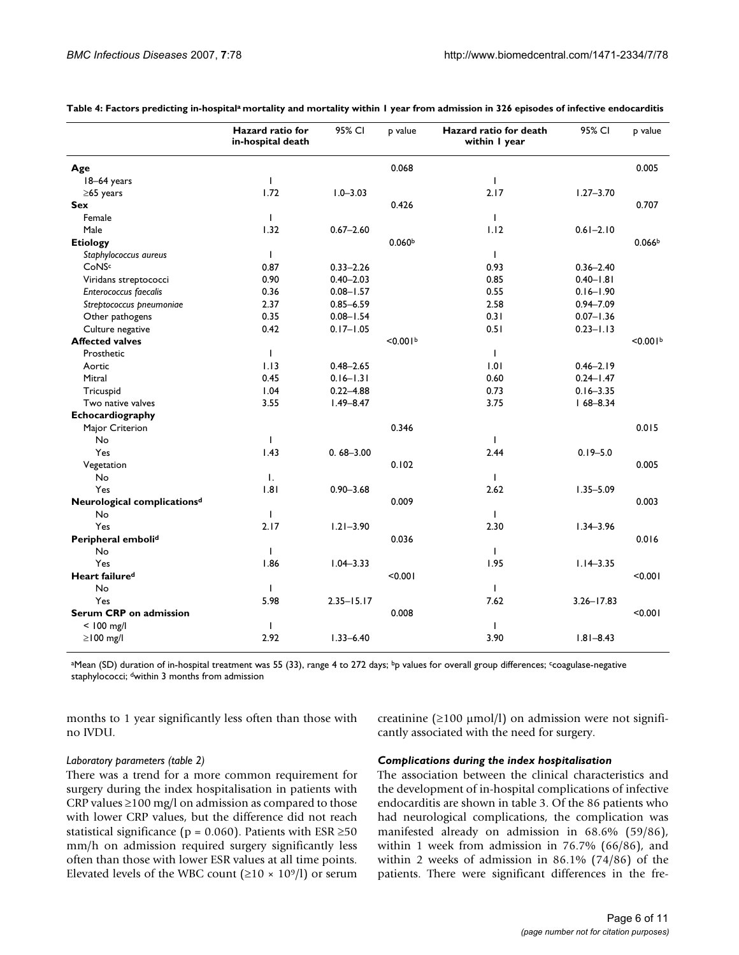|                                         | Hazard ratio for<br>in-hospital death | 95% CI         | p value              | Hazard ratio for death<br>within I year | 95% CI         | p value            |
|-----------------------------------------|---------------------------------------|----------------|----------------------|-----------------------------------------|----------------|--------------------|
| Age                                     |                                       |                | 0.068                |                                         |                | 0.005              |
| 18-64 years                             | $\mathbf{I}$                          |                |                      | $\mathbf{I}$                            |                |                    |
| $\geq$ 65 years                         | 1.72                                  | $1.0 - 3.03$   |                      | 2.17                                    | $1.27 - 3.70$  |                    |
| <b>Sex</b>                              |                                       |                | 0.426                |                                         |                | 0.707              |
| Female                                  | $\mathbf{I}$                          |                |                      | $\mathbf{I}$                            |                |                    |
| Male                                    | 1.32                                  | $0.67 - 2.60$  |                      | 1.12                                    | $0.61 - 2.10$  |                    |
| <b>Etiology</b>                         |                                       |                | 0.060 <sup>b</sup>   |                                         |                | 0.066 <sup>b</sup> |
| Staphylococcus aureus                   | $\mathbf{I}$                          |                |                      | $\mathbf{I}$                            |                |                    |
| CoNSc                                   | 0.87                                  | $0.33 - 2.26$  |                      | 0.93                                    | $0.36 - 2.40$  |                    |
| Viridans streptococci                   | 0.90                                  | $0.40 - 2.03$  |                      | 0.85                                    | $0.40 - 1.81$  |                    |
| <b>Enterococcus faecalis</b>            | 0.36                                  | $0.08 - 1.57$  |                      | 0.55                                    | $0.16 - 1.90$  |                    |
| Streptococcus pneumoniae                | 2.37                                  | $0.85 - 6.59$  |                      | 2.58                                    | $0.94 - 7.09$  |                    |
| Other pathogens                         | 0.35                                  | $0.08 - 1.54$  |                      | 0.31                                    | $0.07 - 1.36$  |                    |
| Culture negative                        | 0.42                                  | $0.17 - 1.05$  |                      | 0.51                                    | $0.23 - 1.13$  |                    |
| <b>Affected valves</b>                  |                                       |                | < 0.001 <sup>b</sup> |                                         |                | < 0.001            |
| Prosthetic                              | $\mathbf{I}$                          |                |                      | $\mathbf{I}$                            |                |                    |
| Aortic                                  | 1.13                                  | $0.48 - 2.65$  |                      | 1.01                                    | $0.46 - 2.19$  |                    |
| Mitral                                  | 0.45                                  | $0.16 - 1.31$  |                      | 0.60                                    | $0.24 - 1.47$  |                    |
| Tricuspid                               | 1.04                                  | $0.22 - 4.88$  |                      | 0.73                                    | $0.16 - 3.35$  |                    |
| Two native valves                       | 3.55                                  | $1.49 - 8.47$  |                      | 3.75                                    | $168 - 8.34$   |                    |
| Echocardiography                        |                                       |                |                      |                                         |                |                    |
| Major Criterion                         |                                       |                | 0.346                |                                         |                | 0.015              |
| No                                      | $\mathbf{I}$                          |                |                      | $\mathbf{I}$                            |                |                    |
| Yes                                     | 1.43                                  | $0.68 - 3.00$  |                      | 2.44                                    | $0.19 - 5.0$   |                    |
| Vegetation                              |                                       |                | 0.102                |                                         |                | 0.005              |
| No                                      | $\mathbf{I}$ .                        |                |                      | $\mathbf{I}$                            |                |                    |
| Yes                                     | .8                                    | $0.90 - 3.68$  |                      | 2.62                                    | $1.35 - 5.09$  |                    |
| Neurological complications <sup>d</sup> |                                       |                | 0.009                |                                         |                | 0.003              |
| No                                      | $\mathbf{I}$                          |                |                      | Τ.                                      |                |                    |
| Yes                                     | 2.17                                  | $1.21 - 3.90$  |                      | 2.30                                    | $1.34 - 3.96$  |                    |
| Peripheral embolid                      |                                       |                | 0.036                |                                         |                | 0.016              |
| <b>No</b>                               | $\mathbf{I}$                          |                |                      | $\blacksquare$                          |                |                    |
| Yes                                     | 1.86                                  | $1.04 - 3.33$  |                      | 1.95                                    | $1.14 - 3.35$  |                    |
| Heart failure <sup>d</sup>              |                                       |                | < 0.001              |                                         |                | < 0.001            |
| No                                      | $\mathbf{I}$                          |                |                      | $\mathbf{I}$                            |                |                    |
| Yes                                     | 5.98                                  | $2.35 - 15.17$ |                      | 7.62                                    | $3.26 - 17.83$ |                    |
| Serum CRP on admission                  |                                       |                | 0.008                |                                         |                | < 0.001            |
| $<$ 100 mg/l                            | $\mathbf{I}$                          |                |                      | T                                       |                |                    |
| $\geq$   00 mg/l                        | 2.92                                  | $1.33 - 6.40$  |                      | 3.90                                    | $1.81 - 8.43$  |                    |

**Table 4: Factors predicting in-hospitala mortality and mortality within 1 year from admission in 326 episodes of infective endocarditis**

aMean (SD) duration of in-hospital treatment was 55 (33), range 4 to 272 days; <sup>b</sup>p values for overall group differences; <sup>c</sup>coagulase-negative staphylococci; dwithin 3 months from admission

months to 1 year significantly less often than those with no IVDU.

creatinine ( $\geq$ 100 µmol/l) on admission were not significantly associated with the need for surgery.

#### *Laboratory parameters (table 2)*

There was a trend for a more common requirement for surgery during the index hospitalisation in patients with CRP values  $\geq$ 100 mg/l on admission as compared to those with lower CRP values, but the difference did not reach statistical significance ( $p = 0.060$ ). Patients with ESR ≥50 mm/h on admission required surgery significantly less often than those with lower ESR values at all time points. Elevated levels of the WBC count ( $\geq 10 \times 10^9$ /l) or serum

#### *Complications during the index hospitalisation*

The association between the clinical characteristics and the development of in-hospital complications of infective endocarditis are shown in table 3. Of the 86 patients who had neurological complications, the complication was manifested already on admission in 68.6% (59/86), within 1 week from admission in 76.7% (66/86), and within 2 weeks of admission in 86.1% (74/86) of the patients. There were significant differences in the fre-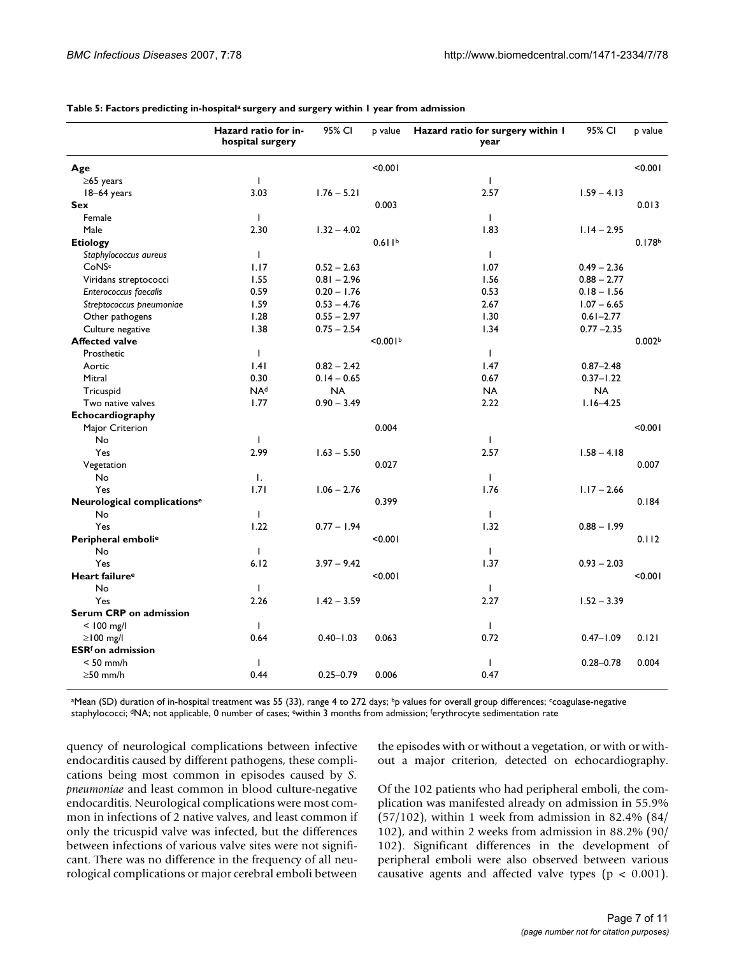|                                         | Hazard ratio for in-<br>hospital surgery | 95% CI        | p value              | Hazard ratio for surgery within I<br>year | 95% CI        | p value            |
|-----------------------------------------|------------------------------------------|---------------|----------------------|-------------------------------------------|---------------|--------------------|
| Age                                     |                                          |               | < 0.001              |                                           |               | < 0.001            |
| $\geq$ 65 years                         | Т.                                       |               |                      | $\mathbf{I}$                              |               |                    |
| 18-64 years                             | 3.03                                     | $1.76 - 5.21$ |                      | 2.57                                      | $1.59 - 4.13$ |                    |
| <b>Sex</b>                              |                                          |               | 0.003                |                                           |               | 0.013              |
| Female                                  | $\mathbf{I}$                             |               |                      | $\mathbf{I}$                              |               |                    |
| Male                                    | 2.30                                     | $1.32 - 4.02$ |                      | 1.83                                      | $1.14 - 2.95$ |                    |
| <b>Etiology</b>                         |                                          |               | 0.611 <sup>b</sup>   |                                           |               | 0.178 <sup>b</sup> |
| Staphylococcus aureus                   | $\mathbf{I}$                             |               |                      | $\mathbf{I}$                              |               |                    |
| CoNSc                                   | 1.17                                     | $0.52 - 2.63$ |                      | 1.07                                      | $0.49 - 2.36$ |                    |
| Viridans streptococci                   | 1.55                                     | $0.81 - 2.96$ |                      | 1.56                                      | $0.88 - 2.77$ |                    |
| Enterococcus faecalis                   | 0.59                                     | $0.20 - 1.76$ |                      | 0.53                                      | $0.18 - 1.56$ |                    |
| Streptococcus pneumoniae                | 1.59                                     | $0.53 - 4.76$ |                      | 2.67                                      | $1.07 - 6.65$ |                    |
| Other pathogens                         | 1.28                                     | $0.55 - 2.97$ |                      | 1.30                                      | $0.61 - 2.77$ |                    |
| Culture negative                        | 1.38                                     | $0.75 - 2.54$ |                      | 1.34                                      | $0.77 - 2.35$ |                    |
| <b>Affected valve</b>                   |                                          |               | < 0.001 <sup>b</sup> |                                           |               | 0.002 <sub>b</sub> |
| Prosthetic                              | $\mathbf{I}$                             |               |                      | $\mathbf{I}$                              |               |                    |
| Aortic                                  | .4                                       | $0.82 - 2.42$ |                      | 1.47                                      | $0.87 - 2.48$ |                    |
| Mitral                                  | 0.30                                     | $0.14 - 0.65$ |                      | 0.67                                      | $0.37 - 1.22$ |                    |
| Tricuspid                               | NA <sup>d</sup>                          | <b>NA</b>     |                      | <b>NA</b>                                 | <b>NA</b>     |                    |
| Two native valves                       | 1.77                                     | $0.90 - 3.49$ |                      | 2.22                                      | $1.16 - 4.25$ |                    |
| Echocardiography                        |                                          |               |                      |                                           |               |                    |
| Major Criterion                         |                                          |               | 0.004                |                                           |               | < 0.001            |
| No                                      | $\mathbf{I}$                             |               |                      | $\mathsf{I}$                              |               |                    |
| Yes                                     | 2.99                                     | $1.63 - 5.50$ |                      | 2.57                                      | $1.58 - 4.18$ |                    |
| Vegetation                              |                                          |               | 0.027                |                                           |               | 0.007              |
| No                                      | $\mathbf{I}$ .                           |               |                      | $\mathbf{I}$                              |               |                    |
| Yes                                     | 1.71                                     | $1.06 - 2.76$ |                      | 1.76                                      | $1.17 - 2.66$ |                    |
| Neurological complications <sup>e</sup> |                                          |               | 0.399                |                                           |               | 0.184              |
| No                                      | $\mathbf{I}$                             |               |                      | $\mathsf{I}$                              |               |                    |
| Yes                                     | 1.22                                     | $0.77 - 1.94$ |                      | 1.32                                      | $0.88 - 1.99$ |                    |
| Peripheral emboli <sup>e</sup>          |                                          |               | < 0.001              |                                           |               | 0.112              |
| No                                      | $\mathbf{I}$                             |               |                      | $\mathbf{I}$                              |               |                    |
| Yes                                     | 6.12                                     | $3.97 - 9.42$ |                      | 1.37                                      | $0.93 - 2.03$ |                    |
| Heart failure <sup>e</sup>              |                                          |               | < 0.001              |                                           |               | < 0.001            |
| No                                      | T                                        |               |                      | $\mathsf{I}$                              |               |                    |
| Yes                                     | 2.26                                     | $1.42 - 3.59$ |                      | 2.27                                      | $1.52 - 3.39$ |                    |
| Serum CRP on admission                  |                                          |               |                      |                                           |               |                    |
| $< 100$ mg/l                            | $\mathbf{I}$                             |               |                      | $\mathsf{I}$                              |               |                    |
| $\geq$ 100 mg/l                         | 0.64                                     | $0.40 - 1.03$ | 0.063                | 0.72                                      | $0.47 - 1.09$ | 0.121              |
| <b>ESR</b> <sup>f</sup> on admission    |                                          |               |                      |                                           |               |                    |
| $< 50$ mm/h                             | J.                                       |               |                      | $\mathbf{I}$                              | $0.28 - 0.78$ | 0.004              |
| $\geq$ 50 mm/h                          | 0.44                                     | $0.25 - 0.79$ | 0.006                | 0.47                                      |               |                    |

**Table 5: Factors predicting in-hospitala surgery and surgery within 1 year from admission**

<sup>a</sup>Mean (SD) duration of in-hospital treatment was 55 (33), range 4 to 272 days; <sup>b</sup>p values for overall group differences; <sup>c</sup>coagulase-negative staphylococci; <sup>d</sup>NA; not applicable, 0 number of cases; <sup>e</sup>within 3 months from admission; <sup>f</sup>erythrocyte sedimentation rate

quency of neurological complications between infective endocarditis caused by different pathogens, these complications being most common in episodes caused by *S. pneumoniae* and least common in blood culture-negative endocarditis. Neurological complications were most common in infections of 2 native valves, and least common if only the tricuspid valve was infected, but the differences between infections of various valve sites were not significant. There was no difference in the frequency of all neurological complications or major cerebral emboli between the episodes with or without a vegetation, or with or without a major criterion, detected on echocardiography.

Of the 102 patients who had peripheral emboli, the complication was manifested already on admission in 55.9% (57/102), within 1 week from admission in 82.4% (84/ 102), and within 2 weeks from admission in 88.2% (90/ 102). Significant differences in the development of peripheral emboli were also observed between various causative agents and affected valve types ( $p < 0.001$ ).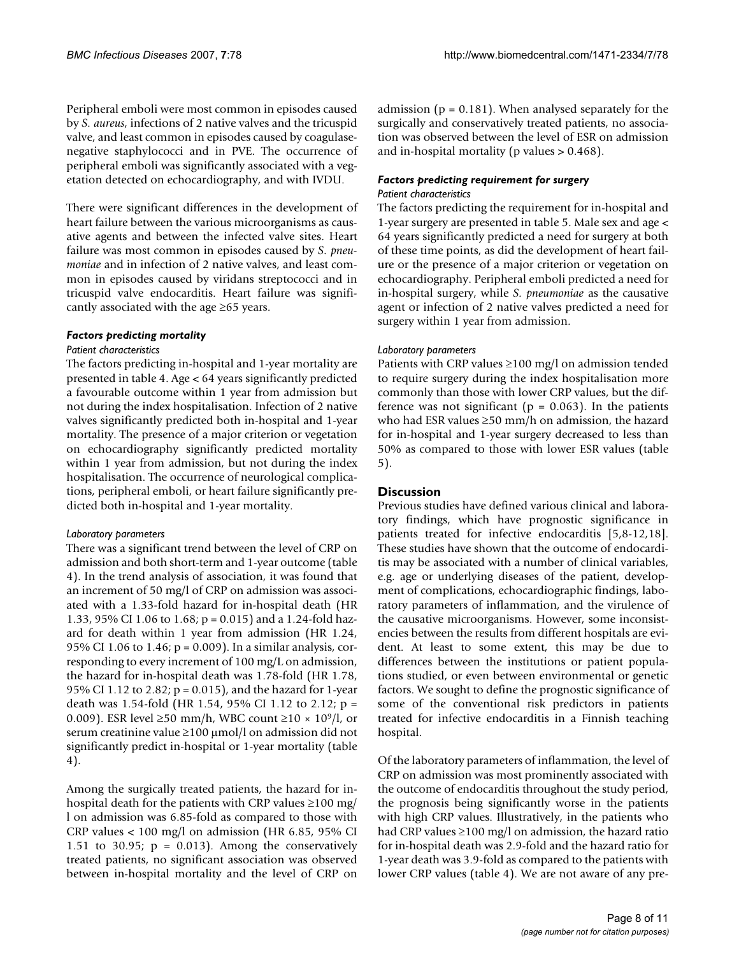Peripheral emboli were most common in episodes caused by *S. aureus*, infections of 2 native valves and the tricuspid valve, and least common in episodes caused by coagulasenegative staphylococci and in PVE. The occurrence of peripheral emboli was significantly associated with a vegetation detected on echocardiography, and with IVDU.

There were significant differences in the development of heart failure between the various microorganisms as causative agents and between the infected valve sites. Heart failure was most common in episodes caused by *S. pneumoniae* and in infection of 2 native valves, and least common in episodes caused by viridans streptococci and in tricuspid valve endocarditis. Heart failure was significantly associated with the age  $\geq 65$  years.

### *Factors predicting mortality*

### *Patient characteristics*

The factors predicting in-hospital and 1-year mortality are presented in table 4. Age < 64 years significantly predicted a favourable outcome within 1 year from admission but not during the index hospitalisation. Infection of 2 native valves significantly predicted both in-hospital and 1-year mortality. The presence of a major criterion or vegetation on echocardiography significantly predicted mortality within 1 year from admission, but not during the index hospitalisation. The occurrence of neurological complications, peripheral emboli, or heart failure significantly predicted both in-hospital and 1-year mortality.

### *Laboratory parameters*

There was a significant trend between the level of CRP on admission and both short-term and 1-year outcome (table 4). In the trend analysis of association, it was found that an increment of 50 mg/l of CRP on admission was associated with a 1.33-fold hazard for in-hospital death (HR 1.33, 95% CI 1.06 to 1.68; p = 0.015) and a 1.24-fold hazard for death within 1 year from admission (HR 1.24, 95% CI 1.06 to 1.46; p = 0.009). In a similar analysis, corresponding to every increment of 100 mg/L on admission, the hazard for in-hospital death was 1.78-fold (HR 1.78, 95% CI 1.12 to 2.82; p = 0.015), and the hazard for 1-year death was 1.54-fold (HR 1.54, 95% CI 1.12 to 2.12; p = 0.009). ESR level  $\geq 50$  mm/h, WBC count  $\geq 10 \times 10^9$ /l, or serum creatinine value  $\geq 100 \mu$ mol/l on admission did not significantly predict in-hospital or 1-year mortality (table 4).

Among the surgically treated patients, the hazard for inhospital death for the patients with CRP values ≥100 mg/ l on admission was 6.85-fold as compared to those with CRP values < 100 mg/l on admission (HR 6.85, 95% CI 1.51 to 30.95;  $p = 0.013$ ). Among the conservatively treated patients, no significant association was observed between in-hospital mortality and the level of CRP on

admission ( $p = 0.181$ ). When analysed separately for the surgically and conservatively treated patients, no association was observed between the level of ESR on admission and in-hospital mortality (p values > 0.468).

#### *Factors predicting requirement for surgery Patient characteristics*

The factors predicting the requirement for in-hospital and 1-year surgery are presented in table 5. Male sex and age < 64 years significantly predicted a need for surgery at both of these time points, as did the development of heart failure or the presence of a major criterion or vegetation on echocardiography. Peripheral emboli predicted a need for in-hospital surgery, while *S. pneumoniae* as the causative agent or infection of 2 native valves predicted a need for surgery within 1 year from admission.

### *Laboratory parameters*

Patients with CRP values ≥100 mg/l on admission tended to require surgery during the index hospitalisation more commonly than those with lower CRP values, but the difference was not significant ( $p = 0.063$ ). In the patients who had ESR values ≥50 mm/h on admission, the hazard for in-hospital and 1-year surgery decreased to less than 50% as compared to those with lower ESR values (table 5).

### **Discussion**

Previous studies have defined various clinical and laboratory findings, which have prognostic significance in patients treated for infective endocarditis [5,8-12,18]. These studies have shown that the outcome of endocarditis may be associated with a number of clinical variables, e.g. age or underlying diseases of the patient, development of complications, echocardiographic findings, laboratory parameters of inflammation, and the virulence of the causative microorganisms. However, some inconsistencies between the results from different hospitals are evident. At least to some extent, this may be due to differences between the institutions or patient populations studied, or even between environmental or genetic factors. We sought to define the prognostic significance of some of the conventional risk predictors in patients treated for infective endocarditis in a Finnish teaching hospital.

Of the laboratory parameters of inflammation, the level of CRP on admission was most prominently associated with the outcome of endocarditis throughout the study period, the prognosis being significantly worse in the patients with high CRP values. Illustratively, in the patients who had CRP values ≥100 mg/l on admission, the hazard ratio for in-hospital death was 2.9-fold and the hazard ratio for 1-year death was 3.9-fold as compared to the patients with lower CRP values (table 4). We are not aware of any pre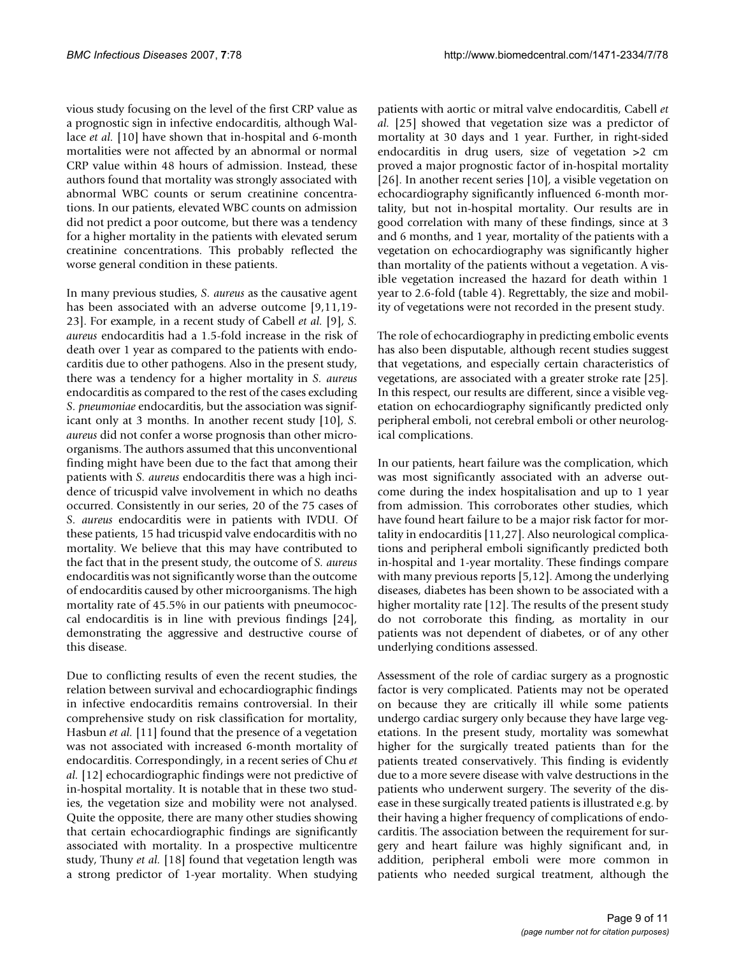vious study focusing on the level of the first CRP value as a prognostic sign in infective endocarditis, although Wallace *et al.* [10] have shown that in-hospital and 6-month mortalities were not affected by an abnormal or normal CRP value within 48 hours of admission. Instead, these authors found that mortality was strongly associated with abnormal WBC counts or serum creatinine concentrations. In our patients, elevated WBC counts on admission did not predict a poor outcome, but there was a tendency for a higher mortality in the patients with elevated serum creatinine concentrations. This probably reflected the worse general condition in these patients.

In many previous studies, *S. aureus* as the causative agent has been associated with an adverse outcome [9,11,19- 23]. For example, in a recent study of Cabell *et al.* [9], *S. aureus* endocarditis had a 1.5-fold increase in the risk of death over 1 year as compared to the patients with endocarditis due to other pathogens. Also in the present study, there was a tendency for a higher mortality in *S. aureus* endocarditis as compared to the rest of the cases excluding *S. pneumoniae* endocarditis, but the association was significant only at 3 months. In another recent study [10], *S. aureus* did not confer a worse prognosis than other microorganisms. The authors assumed that this unconventional finding might have been due to the fact that among their patients with *S. aureus* endocarditis there was a high incidence of tricuspid valve involvement in which no deaths occurred. Consistently in our series, 20 of the 75 cases of *S. aureus* endocarditis were in patients with IVDU. Of these patients, 15 had tricuspid valve endocarditis with no mortality. We believe that this may have contributed to the fact that in the present study, the outcome of *S. aureus* endocarditis was not significantly worse than the outcome of endocarditis caused by other microorganisms. The high mortality rate of 45.5% in our patients with pneumococcal endocarditis is in line with previous findings [24], demonstrating the aggressive and destructive course of this disease.

Due to conflicting results of even the recent studies, the relation between survival and echocardiographic findings in infective endocarditis remains controversial. In their comprehensive study on risk classification for mortality, Hasbun *et al.* [11] found that the presence of a vegetation was not associated with increased 6-month mortality of endocarditis. Correspondingly, in a recent series of Chu *et al.* [12] echocardiographic findings were not predictive of in-hospital mortality. It is notable that in these two studies, the vegetation size and mobility were not analysed. Quite the opposite, there are many other studies showing that certain echocardiographic findings are significantly associated with mortality. In a prospective multicentre study, Thuny *et al.* [18] found that vegetation length was a strong predictor of 1-year mortality. When studying patients with aortic or mitral valve endocarditis, Cabell *et al.* [25] showed that vegetation size was a predictor of mortality at 30 days and 1 year. Further, in right-sided endocarditis in drug users, size of vegetation >2 cm proved a major prognostic factor of in-hospital mortality [26]. In another recent series [10], a visible vegetation on echocardiography significantly influenced 6-month mortality, but not in-hospital mortality. Our results are in good correlation with many of these findings, since at 3 and 6 months, and 1 year, mortality of the patients with a vegetation on echocardiography was significantly higher than mortality of the patients without a vegetation. A visible vegetation increased the hazard for death within 1 year to 2.6-fold (table 4). Regrettably, the size and mobility of vegetations were not recorded in the present study.

The role of echocardiography in predicting embolic events has also been disputable, although recent studies suggest that vegetations, and especially certain characteristics of vegetations, are associated with a greater stroke rate [25]. In this respect, our results are different, since a visible vegetation on echocardiography significantly predicted only peripheral emboli, not cerebral emboli or other neurological complications.

In our patients, heart failure was the complication, which was most significantly associated with an adverse outcome during the index hospitalisation and up to 1 year from admission. This corroborates other studies, which have found heart failure to be a major risk factor for mortality in endocarditis [11,27]. Also neurological complications and peripheral emboli significantly predicted both in-hospital and 1-year mortality. These findings compare with many previous reports [5,12]. Among the underlying diseases, diabetes has been shown to be associated with a higher mortality rate [12]. The results of the present study do not corroborate this finding, as mortality in our patients was not dependent of diabetes, or of any other underlying conditions assessed.

Assessment of the role of cardiac surgery as a prognostic factor is very complicated. Patients may not be operated on because they are critically ill while some patients undergo cardiac surgery only because they have large vegetations. In the present study, mortality was somewhat higher for the surgically treated patients than for the patients treated conservatively. This finding is evidently due to a more severe disease with valve destructions in the patients who underwent surgery. The severity of the disease in these surgically treated patients is illustrated e.g. by their having a higher frequency of complications of endocarditis. The association between the requirement for surgery and heart failure was highly significant and, in addition, peripheral emboli were more common in patients who needed surgical treatment, although the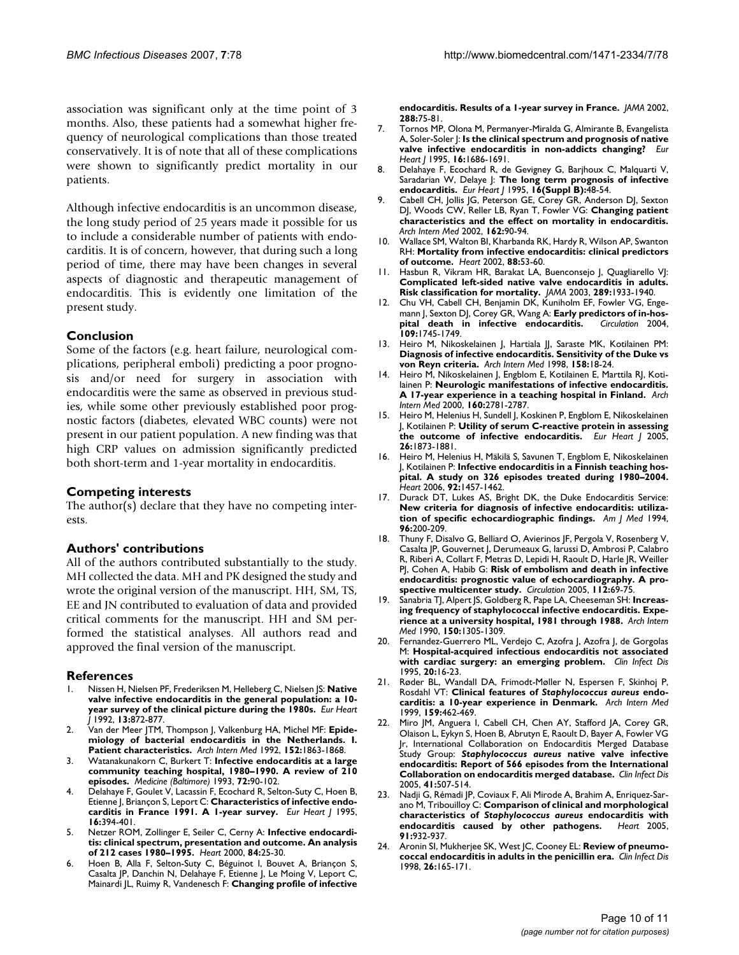association was significant only at the time point of 3 months. Also, these patients had a somewhat higher frequency of neurological complications than those treated conservatively. It is of note that all of these complications were shown to significantly predict mortality in our patients.

Although infective endocarditis is an uncommon disease, the long study period of 25 years made it possible for us to include a considerable number of patients with endocarditis. It is of concern, however, that during such a long period of time, there may have been changes in several aspects of diagnostic and therapeutic management of endocarditis. This is evidently one limitation of the present study.

### **Conclusion**

Some of the factors (e.g. heart failure, neurological complications, peripheral emboli) predicting a poor prognosis and/or need for surgery in association with endocarditis were the same as observed in previous studies, while some other previously established poor prognostic factors (diabetes, elevated WBC counts) were not present in our patient population. A new finding was that high CRP values on admission significantly predicted both short-term and 1-year mortality in endocarditis.

### **Competing interests**

The author(s) declare that they have no competing interests.

### **Authors' contributions**

All of the authors contributed substantially to the study. MH collected the data. MH and PK designed the study and wrote the original version of the manuscript. HH, SM, TS, EE and JN contributed to evaluation of data and provided critical comments for the manuscript. HH and SM performed the statistical analyses. All authors read and approved the final version of the manuscript.

#### **References**

- 1. Nissen H, Nielsen PF, Frederiksen M, Helleberg C, Nielsen JS: **[Native](http://www.ncbi.nlm.nih.gov/entrez/query.fcgi?cmd=Retrieve&db=PubMed&dopt=Abstract&list_uids=1644074) [valve infective endocarditis in the general population: a 10](http://www.ncbi.nlm.nih.gov/entrez/query.fcgi?cmd=Retrieve&db=PubMed&dopt=Abstract&list_uids=1644074) [year survey of the clinical picture during the 1980s.](http://www.ncbi.nlm.nih.gov/entrez/query.fcgi?cmd=Retrieve&db=PubMed&dopt=Abstract&list_uids=1644074)** *Eur Heart J* 1992, **13:**872-877.
- 2. Van der Meer JTM, Thompson J, Valkenburg HA, Michel MF: **[Epide](http://www.ncbi.nlm.nih.gov/entrez/query.fcgi?cmd=Retrieve&db=PubMed&dopt=Abstract&list_uids=1520052)[miology of bacterial endocarditis in the Netherlands. I.](http://www.ncbi.nlm.nih.gov/entrez/query.fcgi?cmd=Retrieve&db=PubMed&dopt=Abstract&list_uids=1520052) [Patient characteristics.](http://www.ncbi.nlm.nih.gov/entrez/query.fcgi?cmd=Retrieve&db=PubMed&dopt=Abstract&list_uids=1520052)** *Arch Intern Med* 1992, **152:**1863-1868.
- 3. Watanakunakorn C, Burkert T: **[Infective endocarditis at a large](http://www.ncbi.nlm.nih.gov/entrez/query.fcgi?cmd=Retrieve&db=PubMed&dopt=Abstract&list_uids=8479327) [community teaching hospital, 1980–1990. A review of 210](http://www.ncbi.nlm.nih.gov/entrez/query.fcgi?cmd=Retrieve&db=PubMed&dopt=Abstract&list_uids=8479327) [episodes.](http://www.ncbi.nlm.nih.gov/entrez/query.fcgi?cmd=Retrieve&db=PubMed&dopt=Abstract&list_uids=8479327)** *Medicine (Baltimore)* 1993, **72:**90-102.
- 4. Delahaye F, Goulet V, Lacassin F, Ecochard R, Selton-Suty C, Hoen B, Etienne J, Briançon S, Leport C: **[Characteristics of infective endo](http://www.ncbi.nlm.nih.gov/entrez/query.fcgi?cmd=Retrieve&db=PubMed&dopt=Abstract&list_uids=7789383)[carditis in France 1991. A 1-year survey.](http://www.ncbi.nlm.nih.gov/entrez/query.fcgi?cmd=Retrieve&db=PubMed&dopt=Abstract&list_uids=7789383)** *Eur Heart J* 1995, **16:**394-401.
- 5. Netzer ROM, Zollinger E, Seiler C, Cerny A: **[Infective endocardi](http://www.ncbi.nlm.nih.gov/entrez/query.fcgi?cmd=Retrieve&db=PubMed&dopt=Abstract&list_uids=10862581)[tis: clinical spectrum, presentation and outcome. An analysis](http://www.ncbi.nlm.nih.gov/entrez/query.fcgi?cmd=Retrieve&db=PubMed&dopt=Abstract&list_uids=10862581) [of 212 cases 1980–1995.](http://www.ncbi.nlm.nih.gov/entrez/query.fcgi?cmd=Retrieve&db=PubMed&dopt=Abstract&list_uids=10862581)** *Heart* 2000, **84:**25-30.
- 6. Hoen B, Alla F, Selton-Suty C, Béguinot I, Bouvet A, Briançon S, Casalta JP, Danchin N, Delahaye F, Etienne J, Le Moing V, Leport C, Mainardi JL, Ruimy R, Vandenesch F: **[Changing profile of infective](http://www.ncbi.nlm.nih.gov/entrez/query.fcgi?cmd=Retrieve&db=PubMed&dopt=Abstract&list_uids=12090865)**

**[endocarditis. Results of a 1-year survey in France.](http://www.ncbi.nlm.nih.gov/entrez/query.fcgi?cmd=Retrieve&db=PubMed&dopt=Abstract&list_uids=12090865)** *JAMA* 2002, **288:**75-81.

- 7. Tornos MP, Olona M, Permanyer-Miralda G, Almirante B, Evangelista A, Soler-Soler J: **[Is the clinical spectrum and prognosis of native](http://www.ncbi.nlm.nih.gov/entrez/query.fcgi?cmd=Retrieve&db=PubMed&dopt=Abstract&list_uids=8881865) [valve infective endocarditis in non-addicts changing?](http://www.ncbi.nlm.nih.gov/entrez/query.fcgi?cmd=Retrieve&db=PubMed&dopt=Abstract&list_uids=8881865)** *Eur Heart J* 1995, **16:**1686-1691.
- 8. Delahaye F, Ecochard R, de Gevigney G, Barjhoux C, Malquarti V, Saradarian W, Delaye J: **[The long term prognosis of infective](http://www.ncbi.nlm.nih.gov/entrez/query.fcgi?cmd=Retrieve&db=PubMed&dopt=Abstract&list_uids=7671924) [endocarditis.](http://www.ncbi.nlm.nih.gov/entrez/query.fcgi?cmd=Retrieve&db=PubMed&dopt=Abstract&list_uids=7671924)** *Eur Heart J* 1995, **16(Suppl B):**48-54.
- 9. Cabell CH, Jollis JG, Peterson GE, Corey GR, Anderson DJ, Sexton DJ, Woods CW, Reller LB, Ryan T, Fowler VG: **[Changing patient](http://www.ncbi.nlm.nih.gov/entrez/query.fcgi?cmd=Retrieve&db=PubMed&dopt=Abstract&list_uids=11784225) [characteristics and the effect on mortality in endocarditis.](http://www.ncbi.nlm.nih.gov/entrez/query.fcgi?cmd=Retrieve&db=PubMed&dopt=Abstract&list_uids=11784225)** *Arch Intern Med* 2002, **162:**90-94.
- 10. Wallace SM, Walton BI, Kharbanda RK, Hardy R, Wilson AP, Swanton RH: **[Mortality from infective endocarditis: clinical predictors](http://www.ncbi.nlm.nih.gov/entrez/query.fcgi?cmd=Retrieve&db=PubMed&dopt=Abstract&list_uids=12067945) [of outcome.](http://www.ncbi.nlm.nih.gov/entrez/query.fcgi?cmd=Retrieve&db=PubMed&dopt=Abstract&list_uids=12067945)** *Heart* 2002, **88:**53-60.
- 11. Hasbun R, Vikram HR, Barakat LA, Buenconsejo J, Quagliarello VJ: **[Complicated left-sided native valve endocarditis in adults.](http://www.ncbi.nlm.nih.gov/entrez/query.fcgi?cmd=Retrieve&db=PubMed&dopt=Abstract&list_uids=12697795) [Risk classification for mortality.](http://www.ncbi.nlm.nih.gov/entrez/query.fcgi?cmd=Retrieve&db=PubMed&dopt=Abstract&list_uids=12697795)** *JAMA* 2003, **289:**1933-1940.
- 12. Chu VH, Cabell CH, Benjamin DK, Kuniholm EF, Fowler VG, Engemann J, Sexton DJ, Corey GR, Wang A: **Early predictors of in-hos-**<br>**pital death in infective endocarditis.** *Circulation* 2004. [pital death in infective endocarditis.](http://www.ncbi.nlm.nih.gov/entrez/query.fcgi?cmd=Retrieve&db=PubMed&dopt=Abstract&list_uids=15037538) **109:**1745-1749.
- 13. Heiro M, Nikoskelainen J, Hartiala JJ, Saraste MK, Kotilainen PM: **[Diagnosis of infective endocarditis. Sensitivity of the Duke vs](http://www.ncbi.nlm.nih.gov/entrez/query.fcgi?cmd=Retrieve&db=PubMed&dopt=Abstract&list_uids=9437374) [von Reyn criteria.](http://www.ncbi.nlm.nih.gov/entrez/query.fcgi?cmd=Retrieve&db=PubMed&dopt=Abstract&list_uids=9437374)** *Arch Intern Med* 1998, **158:**18-24.
- 14. Heiro M, Nikoskelainen J, Engblom E, Kotilainen E, Marttila RJ, Kotilainen P: **[Neurologic manifestations of infective endocarditis.](http://www.ncbi.nlm.nih.gov/entrez/query.fcgi?cmd=Retrieve&db=PubMed&dopt=Abstract&list_uids=11025788) [A 17-year experience in a teaching hospital in Finland.](http://www.ncbi.nlm.nih.gov/entrez/query.fcgi?cmd=Retrieve&db=PubMed&dopt=Abstract&list_uids=11025788)** *Arch Intern Med* 2000, **160:**2781-2787.
- 15. Heiro M, Helenius H, Sundell J, Koskinen P, Engblom E, Nikoskelainen J, Kotilainen P: **[Utility of serum C-reactive protein in assessing](http://www.ncbi.nlm.nih.gov/entrez/query.fcgi?cmd=Retrieve&db=PubMed&dopt=Abstract&list_uids=15855194) [the outcome of infective endocarditis.](http://www.ncbi.nlm.nih.gov/entrez/query.fcgi?cmd=Retrieve&db=PubMed&dopt=Abstract&list_uids=15855194)** *Eur Heart J* 2005, **26:**1873-1881.
- 16. Heiro M, Helenius H, Mäkilä S, Savunen T, Engblom E, Nikoskelainen J, Kotilainen P: **[Infective endocarditis in a Finnish teaching hos](http://www.ncbi.nlm.nih.gov/entrez/query.fcgi?cmd=Retrieve&db=PubMed&dopt=Abstract&list_uids=16644858)[pital. A study on 326 episodes treated during 1980–2004.](http://www.ncbi.nlm.nih.gov/entrez/query.fcgi?cmd=Retrieve&db=PubMed&dopt=Abstract&list_uids=16644858)** *Heart* 2006, **92:**1457-1462.
- 17. Durack DT, Lukes AS, Bright DK, the Duke Endocarditis Service: **[New criteria for diagnosis of infective endocarditis: utiliza](http://www.ncbi.nlm.nih.gov/entrez/query.fcgi?cmd=Retrieve&db=PubMed&dopt=Abstract&list_uids=8154507)[tion of specific echocardiographic findings.](http://www.ncbi.nlm.nih.gov/entrez/query.fcgi?cmd=Retrieve&db=PubMed&dopt=Abstract&list_uids=8154507)** *Am J Med* 1994, **96:**200-209.
- 18. Thuny F, Disalvo G, Belliard O, Avierinos JF, Pergola V, Rosenberg V, Casalta JP, Gouvernet J, Derumeaux G, Iarussi D, Ambrosi P, Calabro R, Riberi A, Collart F, Metras D, Lepidi H, Raoult D, Harle JR, Weiller PJ, Cohen A, Habib G: **[Risk of embolism and death in infective](http://www.ncbi.nlm.nih.gov/entrez/query.fcgi?cmd=Retrieve&db=PubMed&dopt=Abstract&list_uids=15983252) [endocarditis: prognostic value of echocardiography. A pro](http://www.ncbi.nlm.nih.gov/entrez/query.fcgi?cmd=Retrieve&db=PubMed&dopt=Abstract&list_uids=15983252)[spective multicenter study.](http://www.ncbi.nlm.nih.gov/entrez/query.fcgi?cmd=Retrieve&db=PubMed&dopt=Abstract&list_uids=15983252)** *Circulation* 2005, **112:**69-75.
- 19. Sanabria TJ, Alpert JS, Goldberg R, Pape LA, Cheeseman SH: **[Increas](http://www.ncbi.nlm.nih.gov/entrez/query.fcgi?cmd=Retrieve&db=PubMed&dopt=Abstract&list_uids=2353863)[ing frequency of staphylococcal infective endocarditis. Expe](http://www.ncbi.nlm.nih.gov/entrez/query.fcgi?cmd=Retrieve&db=PubMed&dopt=Abstract&list_uids=2353863)[rience at a university hospital, 1981 through 1988.](http://www.ncbi.nlm.nih.gov/entrez/query.fcgi?cmd=Retrieve&db=PubMed&dopt=Abstract&list_uids=2353863)** *Arch Intern Med* 1990, **150:**1305-1309.
- 20. Fernandez-Guerrero ML, Verdejo C, Azofra J, Azofra J, de Gorgolas M: **[Hospital-acquired infectious endocarditis not associated](http://www.ncbi.nlm.nih.gov/entrez/query.fcgi?cmd=Retrieve&db=PubMed&dopt=Abstract&list_uids=7727642) [with cardiac surgery: an emerging problem.](http://www.ncbi.nlm.nih.gov/entrez/query.fcgi?cmd=Retrieve&db=PubMed&dopt=Abstract&list_uids=7727642)** *Clin Infect Dis* 1995, **20:**16-23.
- 21. Røder BL, Wandall DA, Frimodt-Møller N, Espersen F, Skinhoj P, Rosdahl VT: **Clinical features of** *Staphylococcus aureus* **[endo](http://www.ncbi.nlm.nih.gov/entrez/query.fcgi?cmd=Retrieve&db=PubMed&dopt=Abstract&list_uids=10074954)[carditis: a 10-year experience in Denmark.](http://www.ncbi.nlm.nih.gov/entrez/query.fcgi?cmd=Retrieve&db=PubMed&dopt=Abstract&list_uids=10074954)** *Arch Intern Med* 1999, **159:**462-469.
- 22. Miro JM, Anguera I, Cabell CH, Chen AY, Stafford JA, Corey GR, Olaison L, Eykyn S, Hoen B, Abrutyn E, Raoult D, Bayer A, Fowler VG Jr, International Collaboration on Endocarditis Merged Database Study Group: *Staphylococcus aureus* **[native valve infective](http://www.ncbi.nlm.nih.gov/entrez/query.fcgi?cmd=Retrieve&db=PubMed&dopt=Abstract&list_uids=16028160) [endocarditis: Report of 566 episodes from the International](http://www.ncbi.nlm.nih.gov/entrez/query.fcgi?cmd=Retrieve&db=PubMed&dopt=Abstract&list_uids=16028160) [Collaboration on endocarditis merged database.](http://www.ncbi.nlm.nih.gov/entrez/query.fcgi?cmd=Retrieve&db=PubMed&dopt=Abstract&list_uids=16028160)** *Clin Infect Dis* 2005, **41:**507-514.
- 23. Nadji G, Rémadi JP, Coviaux F, Ali Mirode A, Brahim A, Enriquez-Sarano M, Tribouilloy C: **Comparison of clinical and morphological characteristics of** *Staphylococcus aureus* **[endocarditis with](http://www.ncbi.nlm.nih.gov/entrez/query.fcgi?cmd=Retrieve&db=PubMed&dopt=Abstract&list_uids=15958364) [endocarditis caused by other pathogens.](http://www.ncbi.nlm.nih.gov/entrez/query.fcgi?cmd=Retrieve&db=PubMed&dopt=Abstract&list_uids=15958364)** *Heart* 2005, **91:**932-937.
- 24. Aronin SI, Mukherjee SK, West JC, Cooney EL: **[Review of pneumo](http://www.ncbi.nlm.nih.gov/entrez/query.fcgi?cmd=Retrieve&db=PubMed&dopt=Abstract&list_uids=9455526)[coccal endocarditis in adults in the penicillin era.](http://www.ncbi.nlm.nih.gov/entrez/query.fcgi?cmd=Retrieve&db=PubMed&dopt=Abstract&list_uids=9455526)** *Clin Infect Dis* 1998, **26:**165-171.